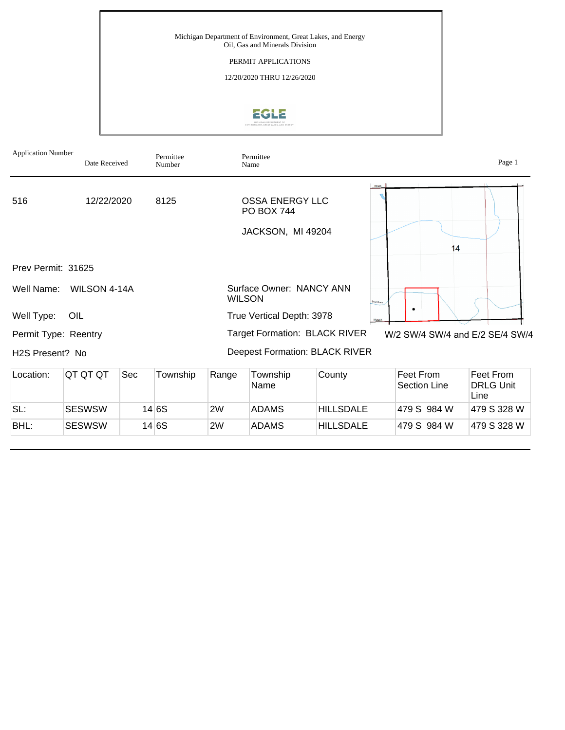

Application Number



BHL: SESWSW 14 6S 2W ADAMS HILLSDALE 479 S 984 W 479 S 328 W